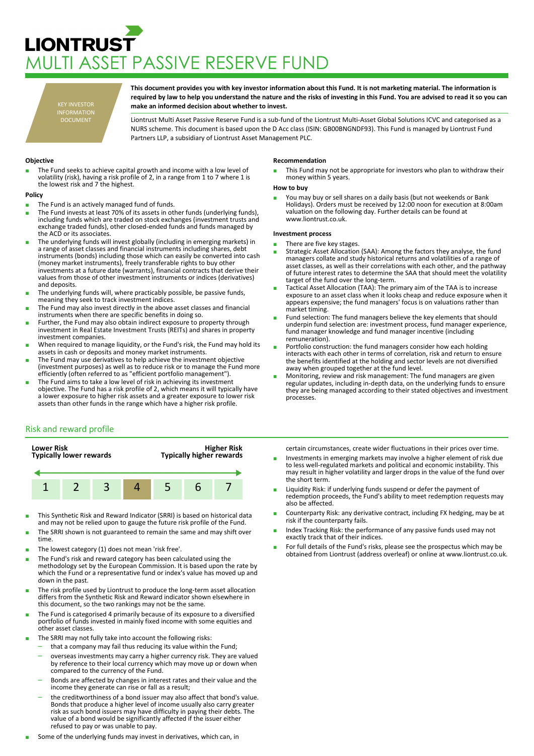# **LIONTRUST** MULTI ASSET PASSIVE RESERVE FUND

KEY INVESTOR INFORMATION DOCUMENT

**This document provides you with key investor information about this Fund. It is not marketing material. The information is required by law to help you understand the nature and the risks of investing in this Fund. You are advised to read it so you can make an informed decision about whether to invest.**

Liontrust Multi Asset Passive Reserve Fund is a sub-fund of the Liontrust Multi-Asset Global Solutions ICVC and categorised as a NURS scheme. This document is based upon the D Acc class (ISIN: GB00BNGNDF93). This Fund is managed by Liontrust Fund Partners LLP, a subsidiary of Liontrust Asset Management PLC.

## **Objective**

The Fund seeks to achieve capital growth and income with a low level of volatility (risk), having a risk profile of 2, in a range from 1 to 7 where 1 is the lowest risk and 7 the highest.

## **Policy**

- The Fund is an actively managed fund of funds.
- The Fund invests at least 70% of its assets in other funds (underlying funds), including funds which are traded on stock exchanges (investment trusts and exchange traded funds), other closed-ended funds and funds managed by the ACD or its associates.
- The underlying funds will invest globally (including in emerging markets) in a range of asset classes and financial instruments including shares, debt instruments (bonds) including those which can easily be converted into cash (money market instruments), freely transferable rights to buy other investments at a future date (warrants), financial contracts that derive their values from those of other investment instruments or indices (derivatives) and deposits.
- The underlying funds will, where practicably possible, be passive funds, meaning they seek to track investment indices.
- The Fund may also invest directly in the above asset classes and financial instruments when there are specific benefits in doing so.
- Further, the Fund may also obtain indirect exposure to property through investment in Real Estate Investment Trusts (REITs) and shares in property investment companies.
- When required to manage liquidity, or the Fund's risk, the Fund may hold its assets in cash or deposits and money market instruments.
- The Fund may use derivatives to help achieve the investment objective (investment purposes) as well as to reduce risk or to manage the Fund more efficiently (often referred to as "efficient portfolio management").
- The Fund aims to take a low level of risk in achieving its investment objective. The Fund has a risk profile of 2, which means it will typically have a lower exposure to higher risk assets and a greater exposure to lower risk assets than other funds in the range which have a higher risk profile.

### **Recommendation**

This Fund may not be appropriate for investors who plan to withdraw their money within 5 years.

### **How to buy**

■ You may buy or sell shares on a daily basis (but not weekends or Bank<br>Holidays). Orders must be received by 12:00 noon for execution at 8:00am valuation on the following day. Further details can be found at www.liontrust.co.uk.

## **Investment process**

- There are five key stages.
- Strategic Asset Allocation (SAA): Among the factors they analyse, the fund managers collate and study historical returns and volatilities of a range of asset classes, as well as their correlations with each other, and the pathway of future interest rates to determine the SAA that should meet the volatility target of the fund over the long-term.
- Tactical Asset Allocation (TAA): The primary aim of the TAA is to increase exposure to an asset class when it looks cheap and reduce exposure when it appears expensive; the fund managers' focus is on valuations rather than market timing.
- Fund selection: The fund managers believe the key elements that should underpin fund selection are: investment process, fund manager experience, fund manager knowledge and fund manager incentive (including remuneration).
- Portfolio construction: the fund managers consider how each holding interacts with each other in terms of correlation, risk and return to ensure the benefits identified at the holding and sector levels are not diversified away when grouped together at the fund level.
- Monitoring, review and risk management: The fund managers are given regular updates, including in-depth data, on the underlying funds to ensure they are being managed according to their stated objectives and investment processes.

## Risk and reward profile



- This Synthetic Risk and Reward Indicator (SRRI) is based on historical data and may not be relied upon to gauge the future risk profile of the Fund.
- The SRRI shown is not guaranteed to remain the same and may shift over time.
- The lowest category (1) does not mean 'risk free'.
- The Fund's risk and reward category has been calculated using the methodology set by the European Commission. It is based upon the rate by which the Fund or a representative fund or index's value has moved up and down in the past.
- The risk profile used by Liontrust to produce the long-term asset allocation differs from the Synthetic Risk and Reward indicator shown elsewhere in this document, so the two rankings may not be the same.
- The Fund is categorised 4 primarily because of its exposure to a diversified portfolio of funds invested in mainly fixed income with some equities and other asset classes.
- The SRRI may not fully take into account the following risks:
	- that a company may fail thus reducing its value within the Fund;
	- overseas investments may carry a higher currency risk. They are valued by reference to their local currency which may move up or down when compared to the currency of the Fund.
	- Bonds are affected by changes in interest rates and their value and the income they generate can rise or fall as a result;
	- the creditworthiness of a bond issuer may also affect that bond's value. Bonds that produce a higher level of income usually also carry greater risk as such bond issuers may have difficulty in paying their debts. The value of a bond would be significantly affected if the issuer either refused to pay or was unable to pay.
- Some of the underlying funds may invest in derivatives, which can, in

certain circumstances, create wider fluctuations in their prices over time.

- Investments in emerging markets may involve a higher element of risk due to less well-regulated markets and political and economic instability. This may result in higher volatility and larger drops in the value of the fund over the short term.
- Liquidity Risk: if underlying funds suspend or defer the payment of redemption proceeds, the Fund's ability to meet redemption requests may also be affected.
- Counterparty Risk: any derivative contract, including FX hedging, may be at risk if the counterparty fails.
- Index Tracking Risk: the performance of any passive funds used may not exactly track that of their indices.
- For full details of the Fund's risks, please see the prospectus which may be obtained from Liontrust (address overleaf) or online at www.liontrust.co.uk.